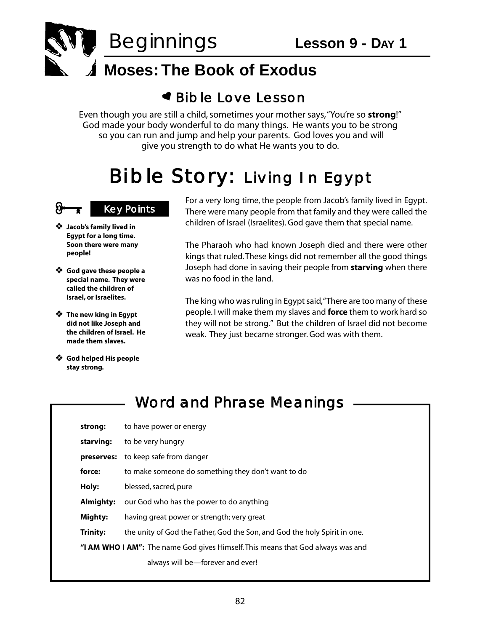

#### **Moses: The Book of Exodus**

#### Bib le Love Lesson

Even though you are still a child, sometimes your mother says,"You're so **strong**!" God made your body wonderful to do many things. He wants you to be strong so you can run and jump and help your parents. God loves you and will give you strength to do what He wants you to do.

# Bi ble Story: Living In Egypt

#### **Key Points**

- **Jacob's family lived in Egypt for a long time. Soon there were many people!**
- **God gave these people a special name. They were called the children of Israel, or Israelites.**
- **The new king in Egypt did not like Joseph and the children of Israel. He made them slaves.**
- **God helped His people stay strong.**

For a very long time, the people from Jacob's family lived in Egypt. There were many people from that family and they were called the children of Israel (Israelites). God gave them that special name.

The Pharaoh who had known Joseph died and there were other kings that ruled.These kings did not remember all the good things Joseph had done in saving their people from **starving** when there was no food in the land.

The king who was ruling in Egypt said,"There are too many of these people. I will make them my slaves and **force** them to work hard so they will not be strong." But the children of Israel did not become weak. They just became stronger. God was with them.

#### Word and Phrase Meanings

| strong:                                                                                 | to have power or energy                                                   |  |
|-----------------------------------------------------------------------------------------|---------------------------------------------------------------------------|--|
| starving:                                                                               | to be very hungry                                                         |  |
| preserves:                                                                              | to keep safe from danger                                                  |  |
| force:                                                                                  | to make someone do something they don't want to do                        |  |
| Holy:                                                                                   | blessed, sacred, pure                                                     |  |
| Almighty:                                                                               | our God who has the power to do anything                                  |  |
| Mighty:                                                                                 | having great power or strength; very great                                |  |
| <b>Trinity:</b>                                                                         | the unity of God the Father, God the Son, and God the holy Spirit in one. |  |
| " <b>I AM WHO I AM":</b> The name God gives Himself. This means that God always was and |                                                                           |  |
|                                                                                         | always will be—forever and ever!                                          |  |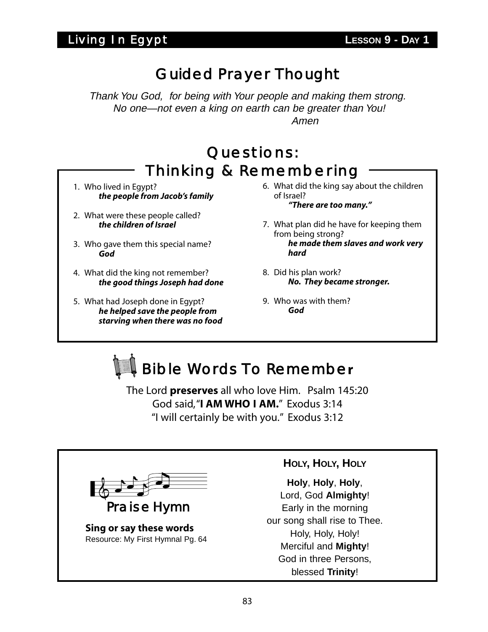Thank You God, for being with Your people and making them strong. No one—not even a king on earth can be greater than You! Amen

## Questions: Thinking & Remembering

- 1. Who lived in Egypt? *the people from Jacob's family*
- 2. What were these people called? *the children of Israel*
- 3. Who gave them this special name? *God*
- 4. What did the king not remember? *the good things Joseph had done*
- 5. What had Joseph done in Egypt? *he helped save the people from starving when there was no food*
- 6. What did the king say about the children of Israel? *"There are too many."*
- 7. What plan did he have for keeping them from being strong? *he made them slaves and work very hard*
- 8. Did his plan work? *No. They became stronger.*
- 9. Who was with them? *God*



The Lord **preserves** all who love Him. Psalm 145:20 God said,"**I AM WHO I AM.**" Exodus 3:14 "I will certainly be with you." Exodus 3:12



Praise Hymn

**Sing or say these words**  Resource: My First Hymnal Pg. 64

#### **HOLY, HOLY, HOLY**

**Holy**, **Holy**, **Holy**, Lord, God **Almighty**! Early in the morning our song shall rise to Thee. Holy, Holy, Holy! Merciful and **Mighty**! God in three Persons, blessed **Trinity**!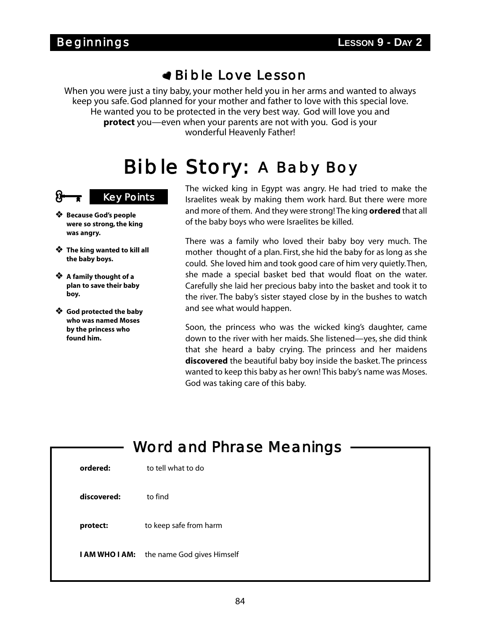When you were just a tiny baby, your mother held you in her arms and wanted to always keep you safe. God planned for your mother and father to love with this special love. He wanted you to be protected in the very best way. God will love you and **protect** you—even when your parents are not with you. God is your wonderful Heavenly Father!

# Bi ble Story: A Baby Boy

#### **Key Points**

- **Because God's people were so strong, the king was angry.**
- **The king wanted to kill all the baby boys.**
- **A family thought of a plan to save their baby boy.**
- **God protected the baby who was named Moses by the princess who found him.**

The wicked king in Egypt was angry. He had tried to make the Israelites weak by making them work hard. But there were more and more of them. And they were strong! The king **ordered** that all of the baby boys who were Israelites be killed.

There was a family who loved their baby boy very much. The mother thought of a plan. First, she hid the baby for as long as she could. She loved him and took good care of him very quietly.Then, she made a special basket bed that would float on the water. Carefully she laid her precious baby into the basket and took it to the river. The baby's sister stayed close by in the bushes to watch and see what would happen.

Soon, the princess who was the wicked king's daughter, came down to the river with her maids. She listened—yes, she did think that she heard a baby crying. The princess and her maidens **discovered** the beautiful baby boy inside the basket. The princess wanted to keep this baby as her own! This baby's name was Moses. God was taking care of this baby.

|                       | <b>Word and Phrase Meanings</b> |
|-----------------------|---------------------------------|
| ordered:              | to tell what to do              |
| discovered:           | to find                         |
| protect:              | to keep safe from harm          |
| <b>I AM WHO I AM:</b> | the name God gives Himself      |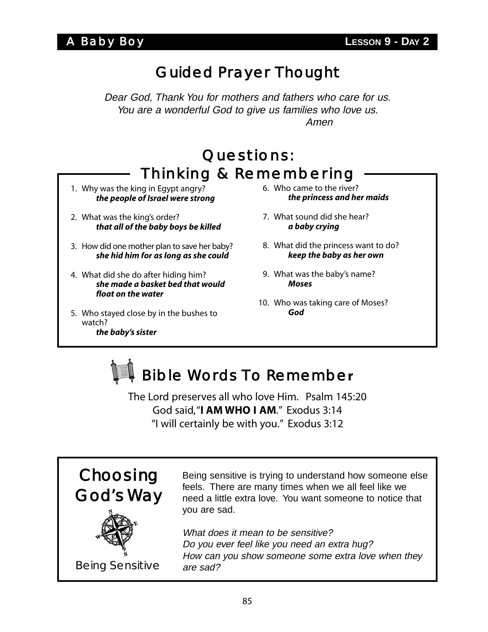Dear God, Thank You for mothers and fathers who care for us. You are a wonderful God to give us families who love us. Amen

### Questions: Thinking & Remembering

- 1. Why was the king in Egypt angry? *the people of Israel were strong*
- 2. What was the king's order? *that all of the baby boys be killed*
- 3. How did one mother plan to save her baby? *she hid him for as long as she could*
- 4. What did she do after hiding him? *she made a basket bed that would float on the water*
- 5. Who stayed close by in the bushes to watch? *the baby's sister*
- 6. Who came to the river? *the princess and her maids*
- 7. What sound did she hear? *a baby crying*
- 8. What did the princess want to do? *keep the baby as her own*
- 9. What was the baby's name? *Moses*
- 10. Who was taking care of Moses? *God*



The Lord preserves all who love Him. Psalm 145:20 God said,"**I AM WHO I AM**." Exodus 3:14 "I will certainly be with you." Exodus 3:12



Being sensitive is trying to understand how someone else feels. There are many times when we all feel like we need a little extra love. You want someone to notice that you are sad.

What does it mean to be sensitive? Do you ever feel like you need an extra hug? How can you show someone some extra love when they are sad?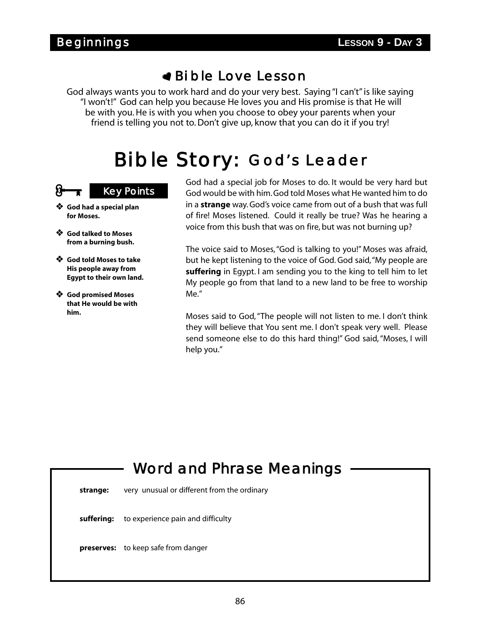God always wants you to work hard and do your very best. Saying "I can't" is like saying "I won't!" God can help you because He loves you and His promise is that He will be with you. He is with you when you choose to obey your parents when your friend is telling you not to. Don't give up, know that you can do it if you try!

# Bi ble Story: God's Leader

#### **Key Points**

- **God had a special plan for Moses.**
- **God talked to Moses from a burning bush.**
- **God told Moses to take His people away from Egypt to their own land.**
- **God promised Moses that He would be with him.**

God had a special job for Moses to do. It would be very hard but God would be with him. God told Moses what He wanted him to do in a **strange** way. God's voice came from out of a bush that was full of fire! Moses listened. Could it really be true? Was he hearing a voice from this bush that was on fire, but was not burning up?

The voice said to Moses,"God is talking to you!" Moses was afraid, but he kept listening to the voice of God. God said,"My people are **suffering** in Egypt. I am sending you to the king to tell him to let My people go from that land to a new land to be free to worship Me."

Moses said to God, "The people will not listen to me. I don't think they will believe that You sent me. I don't speak very well. Please send someone else to do this hard thing!" God said, "Moses, I will help you."

# Word and Phrase Meanings

**strange:** very unusual or different from the ordinary

**suffering:** to experience pain and difficulty

**preserves:** to keep safe from danger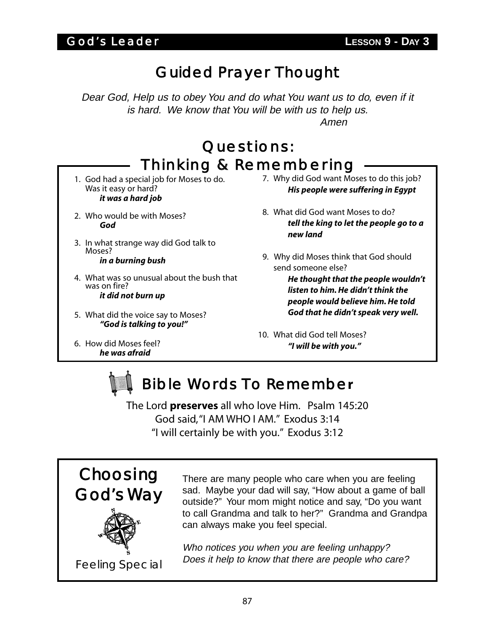Dear God, Help us to obey You and do what You want us to do, even if it is hard. We know that You will be with us to help us. Amen

# Questions: Thinking & Remembering

- 1. God had a special job for Moses to do. Was it easy or hard? *it was a hard job*
- 2. Who would be with Moses? *God*
- 3. In what strange way did God talk to Moses? *in a burning bush*
- 4. What was so unusual about the bush that was on fire? *it did not burn up*
- 5. What did the voice say to Moses? *"God is talking to you!"*
- 6. How did Moses feel? *he was afraid*
- 7. Why did God want Moses to do this job? *His people were suffering in Egypt*
- 8. What did God want Moses to do? *tell the king to let the people go to a new land*
- 9. Why did Moses think that God should send someone else?

*He thought that the people wouldn't listen to him. He didn't think the people would believe him. He told God that he didn't speak very well.*

10. What did God tell Moses? *"I will be with you."*

# Bible Words To Remembe**r**

The Lord **preserves** all who love Him. Psalm 145:20 God said,"I AM WHO I AM." Exodus 3:14 "I will certainly be with you." Exodus 3:12

Choosing God's Way

There are many people who care when you are feeling sad. Maybe your dad will say, "How about a game of ball outside?" Your mom might notice and say, "Do you want to call Grandma and talk to her?" Grandma and Grandpa can always make you feel special.

Who notices you when you are feeling unhappy? Does it help to know that there are people who care? Feeling Special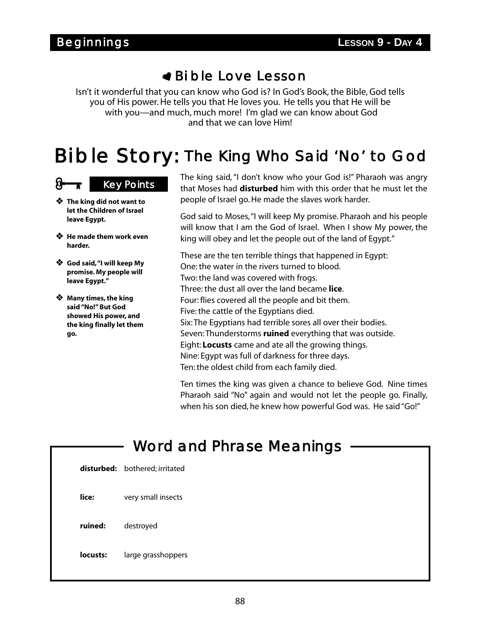Isn't it wonderful that you can know who God is? In God's Book, the Bible, God tells you of His power. He tells you that He loves you. He tells you that He will be with you—and much, much more! I'm glad we can know about God and that we can love Him!

# Bi ble Story: The King Who Said 'No' to God

#### **Key Points**

- **The king did not want to let the Children of Israel leave Egypt.**
- **He made them work even harder.**
- **God said,"I will keep My promise. My people will leave Egypt."**
- **Many times, the king said "No!" But God showed His power, and the king finally let them go.**

The king said, "I don't know who your God is!" Pharaoh was angry that Moses had **disturbed** him with this order that he must let the people of Israel go. He made the slaves work harder.

God said to Moses,"I will keep My promise. Pharaoh and his people will know that I am the God of Israel. When I show My power, the king will obey and let the people out of the land of Egypt."

These are the ten terrible things that happened in Egypt: One: the water in the rivers turned to blood. Two: the land was covered with frogs. Three: the dust all over the land became **lice**. Four: flies covered all the people and bit them. Five: the cattle of the Egyptians died. Six: The Egyptians had terrible sores all over their bodies. Seven: Thunderstorms **ruined** everything that was outside. Eight: **Locusts** came and ate all the growing things. Nine: Egypt was full of darkness for three days. Ten: the oldest child from each family died.

Ten times the king was given a chance to believe God. Nine times Pharaoh said "No" again and would not let the people go. Finally, when his son died, he knew how powerful God was. He said "Go!"

|            | <b>Word and Phrase Meanings</b> |
|------------|---------------------------------|
| disturbed: | bothered; irritated             |
| lice:      | very small insects              |
| ruined:    | destroyed                       |
| locusts:   | large grasshoppers              |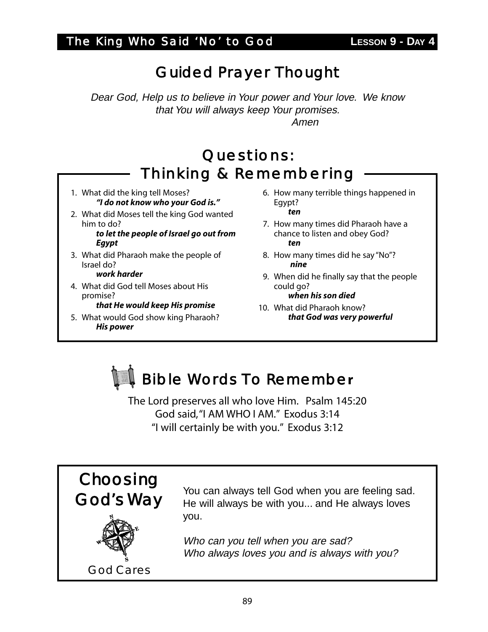Dear God, Help us to believe in Your power and Your love. We know that You will always keep Your promises. Amen

#### Questions: Thinking & Remembering

- 1. What did the king tell Moses? *"I do not know who your God is."*
- 2. What did Moses tell the king God wanted him to do?

*to let the people of Israel go out from Egypt*

3. What did Pharaoh make the people of Israel do?

#### *work harder*

4. What did God tell Moses about His promise?

*that He would keep His promise*

5. What would God show king Pharaoh? *His power*

- 6. How many terrible things happened in Egypt? *ten*
- 7. How many times did Pharaoh have a chance to listen and obey God? *ten*
- 8. How many times did he say "No"? *nine*
- 9. When did he finally say that the people could go? *when his son died*
- 10. What did Pharaoh know? *that God was very powerful*



The Lord preserves all who love Him. Psalm 145:20 God said,"I AM WHO I AM." Exodus 3:14 "I will certainly be with you." Exodus 3:12



You can always tell God when you are feeling sad. He will always be with you... and He always loves you.

Who can you tell when you are sad? Who always loves you and is always with you?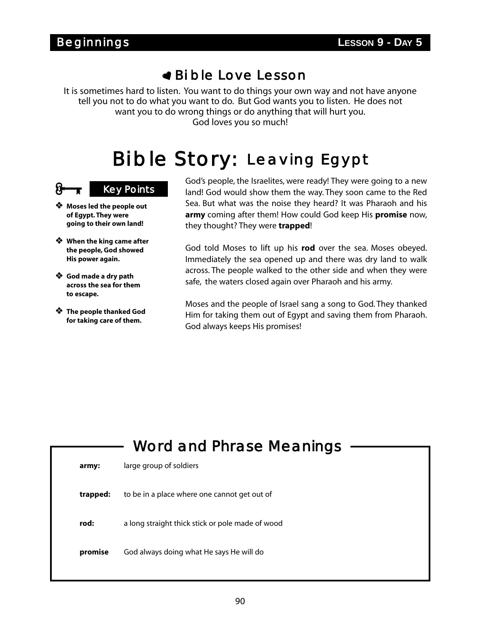It is sometimes hard to listen. You want to do things your own way and not have anyone tell you not to do what you want to do. But God wants you to listen. He does not want you to do wrong things or do anything that will hurt you. God loves you so much!

# Bi ble Story: Leaving Egypt

#### **Key Points**

- **Moses led the people out of Egypt. They were going to their own land!**
- **When the king came after the people, God showed His power again.**
- **God made a dry path across the sea for them to escape.**
- **The people thanked God for taking care of them.**

God's people, the Israelites, were ready! They were going to a new land! God would show them the way. They soon came to the Red Sea. But what was the noise they heard? It was Pharaoh and his **army** coming after them! How could God keep His **promise** now, they thought? They were **trapped**!

God told Moses to lift up his **rod** over the sea. Moses obeyed. Immediately the sea opened up and there was dry land to walk across. The people walked to the other side and when they were safe, the waters closed again over Pharaoh and his army.

Moses and the people of Israel sang a song to God. They thanked Him for taking them out of Egypt and saving them from Pharaoh. God always keeps His promises!

# Word and Phrase Meanings **army:** large group of soldiers **trapped:** to be in a place where one cannot get out of **rod:** a long straight thick stick or pole made of wood **promise** God always doing what He says He will do